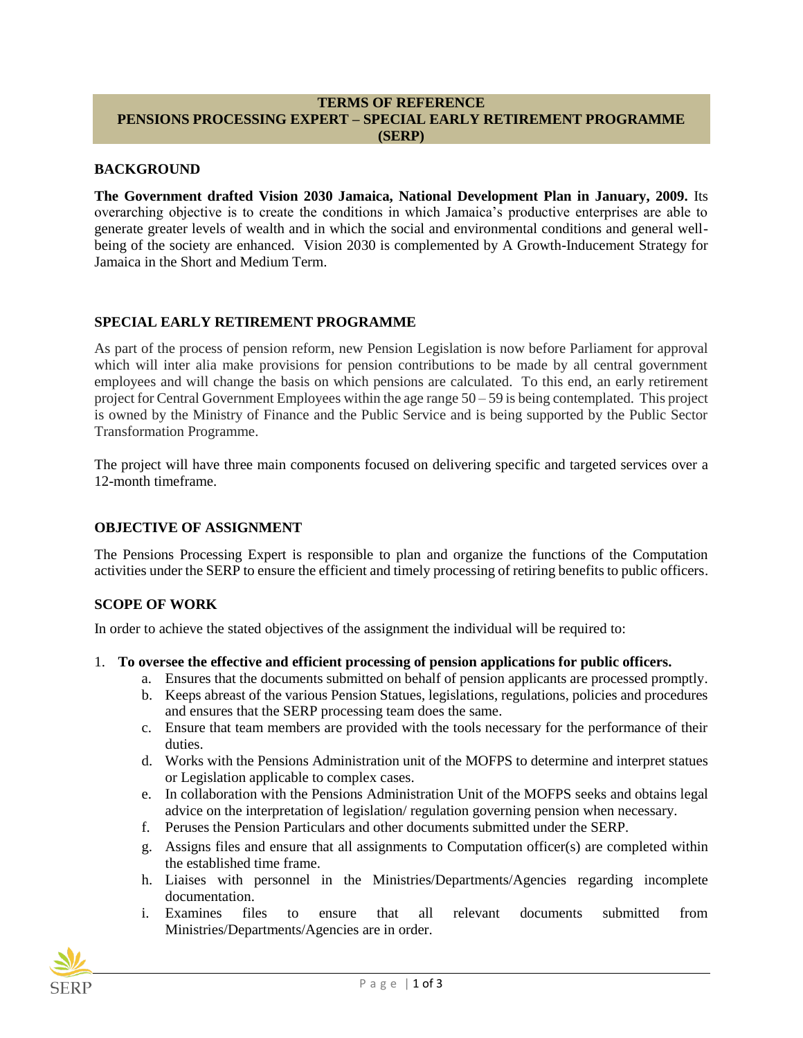#### **TERMS OF REFERENCE PENSIONS PROCESSING EXPERT – SPECIAL EARLY RETIREMENT PROGRAMME (SERP)**

### **BACKGROUND**

**The Government drafted Vision 2030 Jamaica, National Development Plan in January, 2009.** Its overarching objective is to create the conditions in which Jamaica's productive enterprises are able to generate greater levels of wealth and in which the social and environmental conditions and general wellbeing of the society are enhanced. Vision 2030 is complemented by A Growth-Inducement Strategy for Jamaica in the Short and Medium Term.

### **SPECIAL EARLY RETIREMENT PROGRAMME**

As part of the process of pension reform, new Pension Legislation is now before Parliament for approval which will inter alia make provisions for pension contributions to be made by all central government employees and will change the basis on which pensions are calculated. To this end, an early retirement project for Central Government Employees within the age range  $50 - 59$  is being contemplated. This project is owned by the Ministry of Finance and the Public Service and is being supported by the Public Sector Transformation Programme.

The project will have three main components focused on delivering specific and targeted services over a 12-month timeframe.

#### **OBJECTIVE OF ASSIGNMENT**

The Pensions Processing Expert is responsible to plan and organize the functions of the Computation activities under the SERP to ensure the efficient and timely processing of retiring benefits to public officers.

### **SCOPE OF WORK**

In order to achieve the stated objectives of the assignment the individual will be required to:

#### 1. **To oversee the effective and efficient processing of pension applications for public officers.**

- a. Ensures that the documents submitted on behalf of pension applicants are processed promptly.
- b. Keeps abreast of the various Pension Statues, legislations, regulations, policies and procedures and ensures that the SERP processing team does the same.
- c. Ensure that team members are provided with the tools necessary for the performance of their duties.
- d. Works with the Pensions Administration unit of the MOFPS to determine and interpret statues or Legislation applicable to complex cases.
- e. In collaboration with the Pensions Administration Unit of the MOFPS seeks and obtains legal advice on the interpretation of legislation/ regulation governing pension when necessary.
- f. Peruses the Pension Particulars and other documents submitted under the SERP.
- g. Assigns files and ensure that all assignments to Computation officer(s) are completed within the established time frame.
- h. Liaises with personnel in the Ministries/Departments/Agencies regarding incomplete documentation.
- i. Examines files to ensure that all relevant documents submitted from Ministries/Departments/Agencies are in order.

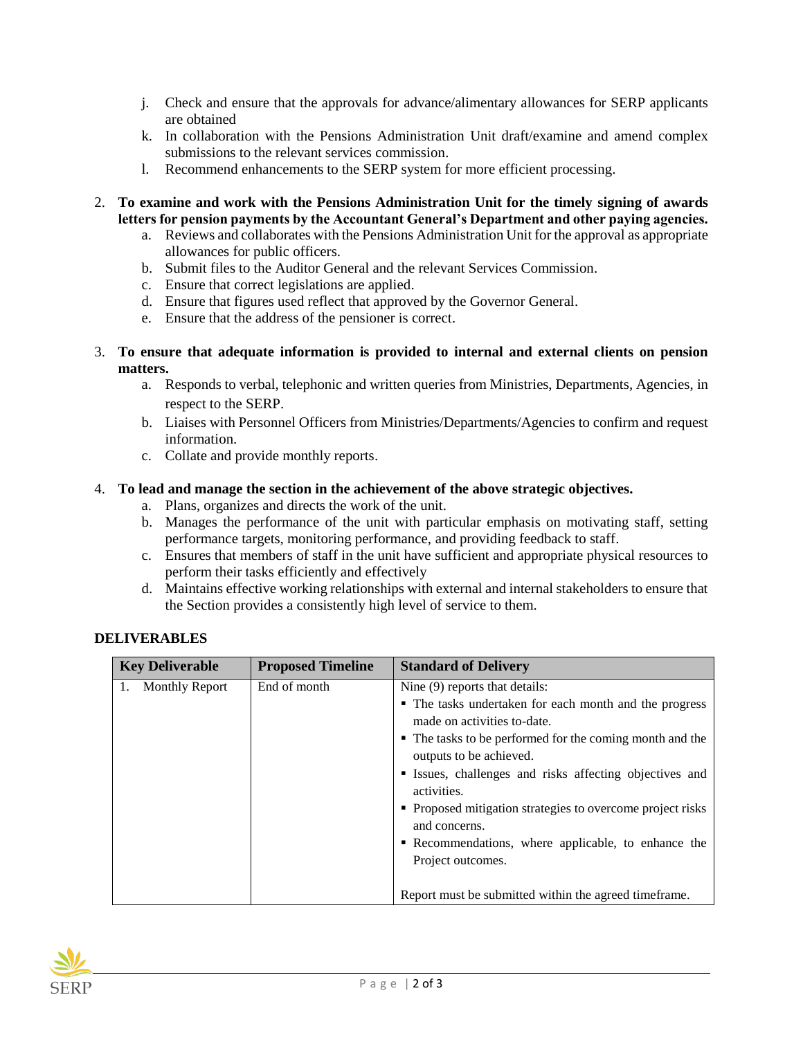- j. Check and ensure that the approvals for advance/alimentary allowances for SERP applicants are obtained
- k. In collaboration with the Pensions Administration Unit draft/examine and amend complex submissions to the relevant services commission.
- l. Recommend enhancements to the SERP system for more efficient processing.
- 2. **To examine and work with the Pensions Administration Unit for the timely signing of awards letters for pension payments by the Accountant General's Department and other paying agencies.**
	- a. Reviews and collaborates with the Pensions Administration Unit for the approval as appropriate allowances for public officers.
	- b. Submit files to the Auditor General and the relevant Services Commission.
	- c. Ensure that correct legislations are applied.
	- d. Ensure that figures used reflect that approved by the Governor General.
	- e. Ensure that the address of the pensioner is correct.
- 3. **To ensure that adequate information is provided to internal and external clients on pension matters.**
	- a. Responds to verbal, telephonic and written queries from Ministries, Departments, Agencies, in respect to the SERP.
	- b. Liaises with Personnel Officers from Ministries/Departments/Agencies to confirm and request information.
	- c. Collate and provide monthly reports.

## 4. **To lead and manage the section in the achievement of the above strategic objectives.**

- a. Plans, organizes and directs the work of the unit.
- b. Manages the performance of the unit with particular emphasis on motivating staff, setting performance targets, monitoring performance, and providing feedback to staff.
- c. Ensures that members of staff in the unit have sufficient and appropriate physical resources to perform their tasks efficiently and effectively
- d. Maintains effective working relationships with external and internal stakeholders to ensure that the Section provides a consistently high level of service to them.

# **DELIVERABLES**

| <b>Key Deliverable</b> | <b>Proposed Timeline</b> | <b>Standard of Delivery</b>                                                                                                                       |
|------------------------|--------------------------|---------------------------------------------------------------------------------------------------------------------------------------------------|
| 1. Monthly Report      | End of month             | Nine (9) reports that details:                                                                                                                    |
|                        |                          | • The tasks undertaken for each month and the progress<br>made on activities to-date.<br>• The tasks to be performed for the coming month and the |
|                        |                          | outputs to be achieved.                                                                                                                           |
|                        |                          | • Issues, challenges and risks affecting objectives and<br>activities.                                                                            |
|                        |                          | • Proposed mitigation strategies to overcome project risks<br>and concerns.                                                                       |
|                        |                          | Recommendations, where applicable, to enhance the                                                                                                 |
|                        |                          | Project outcomes.                                                                                                                                 |
|                        |                          | Report must be submitted within the agreed time frame.                                                                                            |